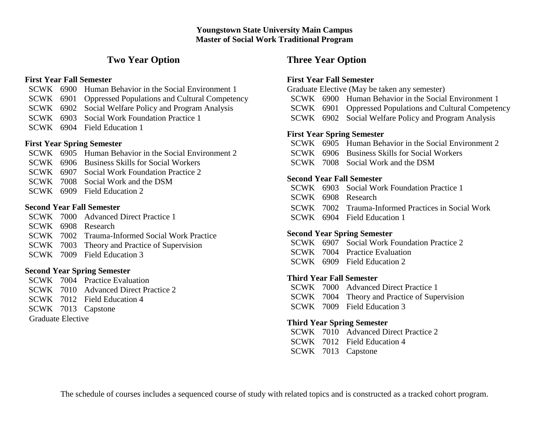### **Youngstown State University Main Campus Master of Social Work Traditional Program**

# **Two Year Option**

## **First Year Fall Semester**

- SCWK 6900 Human Behavior in the Social Environment 1
- SCWK 6901 Oppressed Populations and Cultural Competency
- SCWK 6902 Social Welfare Policy and Program Analysis
- SCWK 6903 Social Work Foundation Practice 1
- SCWK 6904 Field Education 1

## **First Year Spring Semester**

SCWK 6905 Human Behavior in the Social Environment 2 SCWK 6906 Business Skills for Social Workers SCWK 6907 Social Work Foundation Practice 2 SCWK 7008 Social Work and the DSM SCWK 6909 Field Education 2

# **Second Year Fall Semester**

SCWK 7000 Advanced Direct Practice 1 SCWK 6908 Research SCWK 7002 Trauma-Informed Social Work Practice SCWK 7003 Theory and Practice of Supervision SCWK 7009 Field Education 3

# **Second Year Spring Semester**

SCWK 7004 Practice Evaluation SCWK 7010 Advanced Direct Practice 2 SCWK 7012 Field Education 4 SCWK 7013 Capstone Graduate Elective

# **Three Year Option**

## **First Year Fall Semester**

Graduate Elective (May be taken any semester)

- SCWK 6900 Human Behavior in the Social Environment 1
- SCWK 6901 Oppressed Populations and Cultural Competency
- SCWK 6902 Social Welfare Policy and Program Analysis

# **First Year Spring Semester**

- SCWK 6905 Human Behavior in the Social Environment 2
- SCWK 6906 Business Skills for Social Workers
- SCWK 7008 Social Work and the DSM

# **Second Year Fall Semester**

- SCWK 6903 Social Work Foundation Practice 1 SCWK 6908 Research
- SCWK 7002 Trauma-Informed Practices in Social Work
- SCWK 6904 Field Education 1

# **Second Year Spring Semester**

- SCWK 6907 Social Work Foundation Practice 2
- SCWK 7004 Practice Evaluation
- SCWK 6909 Field Education 2

# **Third Year Fall Semester**

- SCWK 7000 Advanced Direct Practice 1
- SCWK 7004 Theory and Practice of Supervision
- SCWK 7009 Field Education 3

## **Third Year Spring Semester**

- SCWK 7010 Advanced Direct Practice 2
- SCWK 7012 Field Education 4
- SCWK 7013 Capstone